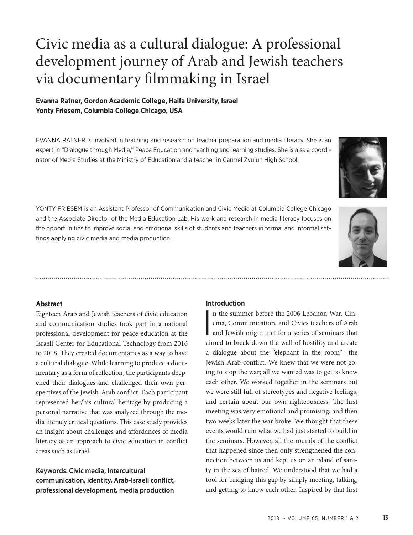# Civic media as a cultural dialogue: A professional development journey of Arab and Jewish teachers via documentary filmmaking in Israel

# **Evanna Ratner, Gordon Academic College, Haifa University, Israel Yonty Friesem, Columbia College Chicago, USA**

EVANNA RATNER is involved in teaching and research on teacher preparation and media literacy. She is an expert in "Dialogue through Media," Peace Education and teaching and learning studies. She is alss a coordinator of Media Studies at the Ministry of Education and a teacher in Carmel Zvulun High School.



YONTY FRIESEM is an Assistant Professor of Communication and Civic Media at Columbia College Chicago and the Associate Director of the Media Education Lab. His work and research in media literacy focuses on the opportunities to improve social and emotional skills of students and teachers in formal and informal settings applying civic media and media production.



Eighteen Arab and Jewish teachers of civic education and communication studies took part in a national professional development for peace education at the Israeli Center for Educational Technology from 2016 to 2018. They created documentaries as a way to have a cultural dialogue. While learning to produce a documentary as a form of reflection, the participants deepened their dialogues and challenged their own perspectives of the Jewish-Arab conflict. Each participant represented her/his cultural heritage by producing a personal narrative that was analyzed through the media literacy critical questions. This case study provides an insight about challenges and affordances of media literacy as an approach to civic education in conflict areas such as Israel.

**Keywords: Civic media, Intercultural communication, identity, Arab-Israeli conflict, professional development, media production**

### **Introduction**

I n the summer before the 2006 Lebanon War, Cinema, Communication, and Civics teachers of Arab and Jewish origin met for a series of seminars that aimed to break down the wall of hostility and create a dialogue about the "elephant in the room"—the Jewish-Arab conflict. We knew that we were not going to stop the war; all we wanted was to get to know each other. We worked together in the seminars but we were still full of stereotypes and negative feelings, and certain about our own righteousness. The first meeting was very emotional and promising, and then two weeks later the war broke. We thought that these events would ruin what we had just started to build in the seminars. However, all the rounds of the conflict that happened since then only strengthened the connection between us and kept us on an island of sanity in the sea of hatred. We understood that we had a tool for bridging this gap by simply meeting, talking, and getting to know each other. Inspired by that first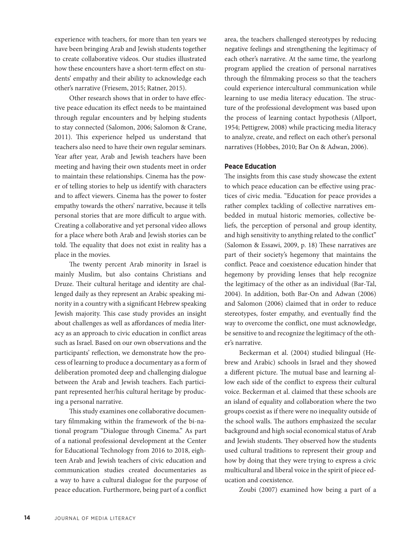experience with teachers, for more than ten years we have been bringing Arab and Jewish students together to create collaborative videos. Our studies illustrated how these encounters have a short-term effect on students' empathy and their ability to acknowledge each other's narrative (Friesem, 2015; Ratner, 2015).

Other research shows that in order to have effective peace education its effect needs to be maintained through regular encounters and by helping students to stay connected (Salomon, 2006; Salomon & Crane, 2011). This experience helped us understand that teachers also need to have their own regular seminars. Year after year, Arab and Jewish teachers have been meeting and having their own students meet in order to maintain these relationships. Cinema has the power of telling stories to help us identify with characters and to affect viewers. Cinema has the power to foster empathy towards the others' narrative, because it tells personal stories that are more difficult to argue with. Creating a collaborative and yet personal video allows for a place where both Arab and Jewish stories can be told. The equality that does not exist in reality has a place in the movies.

The twenty percent Arab minority in Israel is mainly Muslim, but also contains Christians and Druze. Their cultural heritage and identity are challenged daily as they represent an Arabic speaking minority in a country with a significant Hebrew speaking Jewish majority. This case study provides an insight about challenges as well as affordances of media literacy as an approach to civic education in conflict areas such as Israel. Based on our own observations and the participants' reflection, we demonstrate how the process of learning to produce a documentary as a form of deliberation promoted deep and challenging dialogue between the Arab and Jewish teachers. Each participant represented her/his cultural heritage by producing a personal narrative.

This study examines one collaborative documentary filmmaking within the framework of the bi-national program "Dialogue through Cinema." As part of a national professional development at the Center for Educational Technology from 2016 to 2018, eighteen Arab and Jewish teachers of civic education and communication studies created documentaries as a way to have a cultural dialogue for the purpose of peace education. Furthermore, being part of a conflict area, the teachers challenged stereotypes by reducing negative feelings and strengthening the legitimacy of each other's narrative. At the same time, the yearlong program applied the creation of personal narratives through the filmmaking process so that the teachers could experience intercultural communication while learning to use media literacy education. The structure of the professional development was based upon the process of learning contact hypothesis (Allport, 1954; Pettigrew, 2008) while practicing media literacy to analyze, create, and reflect on each other's personal narratives (Hobbes, 2010; Bar On & Adwan, 2006).

#### **Peace Education**

The insights from this case study showcase the extent to which peace education can be effective using practices of civic media. "Education for peace provides a rather complex tackling of collective narratives embedded in mutual historic memories, collective beliefs, the perception of personal and group identity, and high sensitivity to anything related to the conflict" (Salomon & Essawi, 2009, p. 18) These narratives are part of their society's hegemony that maintains the conflict. Peace and coexistence education hinder that hegemony by providing lenses that help recognize the legitimacy of the other as an individual (Bar-Tal, 2004). In addition, both Bar-On and Adwan (2006) and Salomon (2006) claimed that in order to reduce stereotypes, foster empathy, and eventually find the way to overcome the conflict, one must acknowledge, be sensitive to and recognize the legitimacy of the other's narrative.

Beckerman et al. (2004) studied bilingual (Hebrew and Arabic) schools in Israel and they showed a different picture. The mutual base and learning allow each side of the conflict to express their cultural voice. Beckerman et al. claimed that these schools are an island of equality and collaboration where the two groups coexist as if there were no inequality outside of the school walls. The authors emphasized the secular background and high social economical status of Arab and Jewish students. They observed how the students used cultural traditions to represent their group and how by doing that they were trying to express a civic multicultural and liberal voice in the spirit of piece education and coexistence.

Zoubi (2007) examined how being a part of a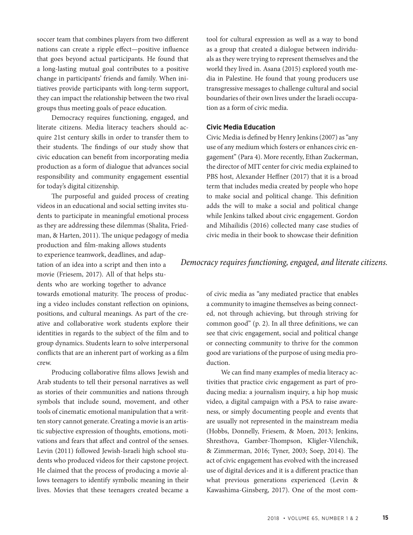soccer team that combines players from two different nations can create a ripple effect—positive influence that goes beyond actual participants. He found that a long-lasting mutual goal contributes to a positive change in participants' friends and family. When initiatives provide participants with long-term support, they can impact the relationship between the two rival groups thus meeting goals of peace education.

Democracy requires functioning, engaged, and literate citizens. Media literacy teachers should acquire 21st century skills in order to transfer them to their students. The findings of our study show that civic education can benefit from incorporating media production as a form of dialogue that advances social responsibility and community engagement essential for today's digital citizenship.

The purposeful and guided process of creating videos in an educational and social setting invites students to participate in meaningful emotional process as they are addressing these dilemmas (Shalita, Friedman, & Harten, 2011). The unique pedagogy of media production and film-making allows students to experience teamwork, deadlines, and adaptation of an idea into a script and then into a movie (Friesem, 2017). All of that helps students who are working together to advance towards emotional maturity. The process of producing a video includes constant reflection on opinions, positions, and cultural meanings. As part of the creative and collaborative work students explore their identities in regards to the subject of the film and to group dynamics. Students learn to solve interpersonal conflicts that are an inherent part of working as a film crew.

Producing collaborative films allows Jewish and Arab students to tell their personal narratives as well as stories of their communities and nations through symbols that include sound, movement, and other tools of cinematic emotional manipulation that a written story cannot generate. Creating a movie is an artistic subjective expression of thoughts, emotions, motivations and fears that affect and control of the senses. Levin (2011) followed Jewish-Israeli high school students who produced videos for their capstone project. He claimed that the process of producing a movie allows teenagers to identify symbolic meaning in their lives. Movies that these teenagers created became a

tool for cultural expression as well as a way to bond as a group that created a dialogue between individuals as they were trying to represent themselves and the world they lived in. Asana (2015) explored youth media in Palestine. He found that young producers use transgressive messages to challenge cultural and social boundaries of their own lives under the Israeli occupation as a form of civic media.

### **Civic Media Education**

Civic Media is defined by Henry Jenkins (2007) as "any use of any medium which fosters or enhances civic engagement" (Para 4). More recently, Ethan Zuckerman, the director of MIT center for civic media explained to PBS host, Alexander Heffner (2017) that it is a broad term that includes media created by people who hope to make social and political change. This definition adds the will to make a social and political change while Jenkins talked about civic engagement. Gordon and Mihailidis (2016) collected many case studies of civic media in their book to showcase their definition

## *Democracy requires functioning, engaged, and literate citizens.*

of civic media as "any mediated practice that enables a community to imagine themselves as being connected, not through achieving, but through striving for common good" (p. 2). In all three definitions, we can see that civic engagement, social and political change or connecting community to thrive for the common good are variations of the purpose of using media production.

We can find many examples of media literacy activities that practice civic engagement as part of producing media: a journalism inquiry, a hip hop music video, a digital campaign with a PSA to raise awareness, or simply documenting people and events that are usually not represented in the mainstream media (Hobbs, Donnelly, Friesem, & Moen, 2013; Jenkins, Shresthova, Gamber-Thompson, Kligler-Vilenchik, & Zimmerman, 2016; Tyner, 2003; Soep, 2014). The act of civic engagement has evolved with the increased use of digital devices and it is a different practice than what previous generations experienced (Levin & Kawashima-Ginsberg, 2017). One of the most com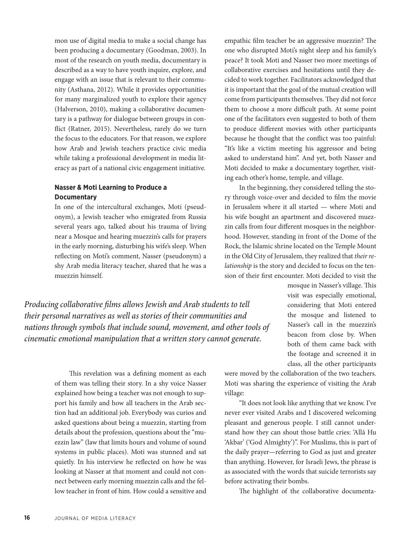mon use of digital media to make a social change has been producing a documentary (Goodman, 2003). In most of the research on youth media, documentary is described as a way to have youth inquire, explore, and engage with an issue that is relevant to their community (Asthana, 2012). While it provides opportunities for many marginalized youth to explore their agency (Halverson, 2010), making a collaborative documentary is a pathway for dialogue between groups in conflict (Ratner, 2015). Nevertheless, rarely do we turn the focus to the educators. For that reason, we explore how Arab and Jewish teachers practice civic media while taking a professional development in media literacy as part of a national civic engagement initiative.

# **Nasser & Moti Learning to Produce a Documentary**

In one of the intercultural exchanges, Moti (pseudonym), a Jewish teacher who emigrated from Russia several years ago, talked about his trauma of living near a Mosque and hearing muezzin's calls for prayers in the early morning, disturbing his wife's sleep. When reflecting on Moti's comment, Nasser (pseudonym) a shy Arab media literacy teacher, shared that he was a muezzin himself.

*Producing collaborative films allows Jewish and Arab students to tell their personal narratives as well as stories of their communities and nations through symbols that include sound, movement, and other tools of cinematic emotional manipulation that a written story cannot generate.* 

> This revelation was a defining moment as each of them was telling their story. In a shy voice Nasser explained how being a teacher was not enough to support his family and how all teachers in the Arab section had an additional job. Everybody was curios and asked questions about being a muezzin, starting from details about the profession, questions about the "muezzin law" (law that limits hours and volume of sound systems in public places). Moti was stunned and sat quietly. In his interview he reflected on how he was looking at Nasser at that moment and could not connect between early morning muezzin calls and the fellow teacher in front of him. How could a sensitive and

empathic film teacher be an aggressive muezzin? The one who disrupted Moti's night sleep and his family's peace? It took Moti and Nasser two more meetings of collaborative exercises and hesitations until they decided to work together. Facilitators acknowledged that it is important that the goal of the mutual creation will come from participants themselves. They did not force them to choose a more difficult path. At some point one of the facilitators even suggested to both of them to produce different movies with other participants because he thought that the conflict was too painful: "It's like a victim meeting his aggressor and being asked to understand him". And yet, both Nasser and Moti decided to make a documentary together, visiting each other's home, temple, and village.

In the beginning, they considered telling the story through voice-over and decided to film the movie in Jerusalem where it all started — where Moti and his wife bought an apartment and discovered muezzin calls from four different mosques in the neighborhood. However, standing in front of the Dome of the Rock, the Islamic shrine located on the Temple Mount in the Old City of Jerusalem, they realized that *their relationship* is the story and decided to focus on the tension of their first encounter. Moti decided to visit the

> mosque in Nasser's village. This visit was especially emotional, considering that Moti entered the mosque and listened to Nasser's call in the muezzin's beacon from close by. When both of them came back with the footage and screened it in class, all the other participants

were moved by the collaboration of the two teachers. Moti was sharing the experience of visiting the Arab village:

"It does not look like anything that we know. I've never ever visited Arabs and I discovered welcoming pleasant and generous people. I still cannot understand how they can shout those battle cries: 'Allā Hu 'Akbar' ('God Almighty')". For Muslims, this is part of the daily prayer—referring to God as just and greater than anything. However, for Israeli Jews, the phrase is as associated with the words that suicide terrorists say before activating their bombs.

The highlight of the collaborative documenta-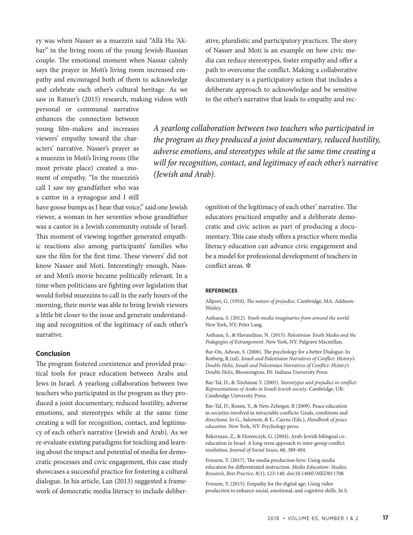ry was when Nasser as a muezzin said "Allā Hu 'Akbar" in the living room of the young Jewish-Russian couple. The emotional moment when Nassar calmly says the prayer in Moti's living room increased empathy and encouraged both of them to acknowledge and celebrate each other's cultural heritage. As we saw in Ratner's (2015) research, making videos with

personal or communal narrative enhances the connection between young film-makers and increases viewers' empathy toward the characters' narrative. Nasser's prayer as a muezzin in Moti's living room (the most private place) created a moment of empathy. "In the muezzin's call I saw my grandfather who was a cantor in a synagogue and I still

have goose bumps as I hear that voice," said one Jewish viewer, a woman in her seventies whose grandfather was a cantor in a Jewish community outside of Israel. This moment of viewing together generated empathic reactions also among participants' families who saw the film for the first time. These viewers' did not know Nasser and Moti. Interestingly enough, Nasser and Moti's movie became politically relevant. In a time when politicians are fighting over legislation that would forbid muezzins to call in the early hours of the morning, their movie was able to bring Jewish viewers a little bit closer to the issue and generate understanding and recognition of the legitimacy of each other's narrative.

#### **Conclusion**

The program fostered coexistence and provided practical tools for peace education between Arabs and Jews in Israel. A yearlong collaboration between two teachers who participated in the program as they produced a joint documentary, reduced hostility, adverse emotions, and stereotypes while at the same time creating a will for recognition, contact, and legitimacy of each other's narrative (Jewish and Arab). As we re-evaluate existing paradigms for teaching and learning about the impact and potential of media for democratic processes and civic engagement, this case study showcases a successful practice for fostering a cultural dialogue. In his article, Lan (2013) suggested a framework of democratic media literacy to include deliberative, pluralistic and participatory practices. The story of Nasser and Moti is an example on how civic media can reduce stereotypes, foster empathy and offer a path to overcome the conflict. Making a collaborative documentary is a participatory action that includes a deliberate approach to acknowledge and be sensitive to the other's narrative that leads to empathy and rec-

*A yearlong collaboration between two teachers who participated in the program as they produced a joint documentary, reduced hostility, adverse emotions, and stereotypes while at the same time creating a will for recognition, contact, and legitimacy of each other's narrative (Jewish and Arab).* 

> ognition of the legitimacy of each other' narrative. The educators practiced empathy and a deliberate democratic and civic action as part of producing a documentary. This case study offers a practice where media literacy education can advance civic engagement and be a model for professional development of teachers in conflict areas.  $*$

#### **REFERENCES**

Allport, G. (1954). *The nature of prejudice.* Cambridge, MA: Addison-Wesley.

Asthana, S. (2012). *Youth media imaginaries from around the world.*  New York, NY: Peter Lang.

Asthana, S., & Havandjian, N. (2015). *Palestinian Youth Media and the Pedagogies of Estrangement*. New York, NY: Palgrave Macmillan.

Bar-On, Adwan, S. (2006). The psychology for a better Dialogue. In Rotberg, R.(ed). *Israeli and Palestinian Narratives of Conflict: History's Double Helix, Israeli and Palestinian Narratives of Conflict: History's Double Helix*, Bloomington, IN: Indiana University Press.

Bar-Tal, D., & Teichman Y. (2005). *Stereotypes and prejudice in conflict: Representations of Arabs in Israeli Jewish society*. Cambridge, UK: Cambridge University Press.

Bar-Tal, D., Rozen, Y., & Nets-Zehngut, R (2009). Peace education in societies involved in intractable conflicts: Goals, conditions and directions. In G., Salomon, & E., Cairns (Eds.), *Handbook of peace education*. New York, NY: Psychology press.

Bekerman, Z., & Horenczyk, G. (2004). Arab-Jewish bilingual coeducation in Israel: A long-term approach to inter-group conflict resolution. *Journal of Social Issues*, 60, 389-404.

Friesem, Y. (2017). The media production hive: Using media education for differentiated instruction. *Media Education- Studies, Research, Best Practice*, 8(1), 123-140. doi:10.14605/MED811708

Friesem, Y. (2015). Empathy for the digital age: Using video production to enhance social, emotional, and cognitive skills. In S.